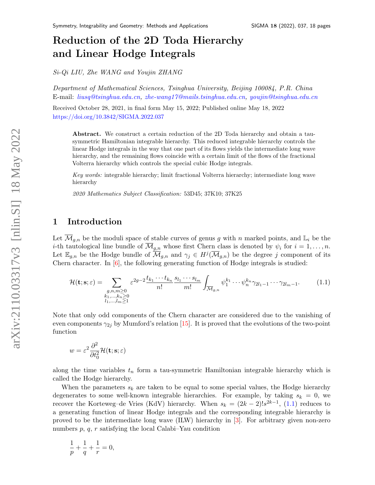# Reduction of the 2D Toda Hierarchy and Linear Hodge Integrals

Si-Qi LIU, Zhe WANG and Youjin ZHANG

Department of Mathematical Sciences, Tsinghua University, Beijing 100084, P.R. China E-mail: [liusq@tsinghua.edu.cn,](mailto:liusq@tsinghua.edu.cn) [zhe-wang17@mails.tsinghua.edu.cn,](mailto:zhe-wang17@mails.tsinghua.edu.cn) [youjin@tsinghua.edu.cn](mailto:youjin@tsinghua.edu.cn)

Received October 28, 2021, in final form May 15, 2022; Published online May 18, 2022 <https://doi.org/10.3842/SIGMA.2022.037>

Abstract. We construct a certain reduction of the 2D Toda hierarchy and obtain a tausymmetric Hamiltonian integrable hierarchy. This reduced integrable hierarchy controls the linear Hodge integrals in the way that one part of its flows yields the intermediate long wave hierarchy, and the remaining flows coincide with a certain limit of the flows of the fractional Volterra hierarchy which controls the special cubic Hodge integrals.

Key words: integrable hierarchy; limit fractional Volterra hierarchy; intermediate long wave hierarchy

2020 Mathematics Subject Classification: 53D45; 37K10; 37K25

# 1 Introduction

Let  $\overline{\mathcal{M}}_{q,n}$  be the moduli space of stable curves of genus g with n marked points, and  $\mathbb{L}_i$  be the *i*-th tautological line bundle of  $\overline{\mathcal{M}}_{g,n}$  whose first Chern class is denoted by  $\psi_i$  for  $i = 1, \ldots, n$ . Let  $\mathbb{E}_{g,n}$  be the Hodge bundle of  $\overline{\mathcal{M}}_{g,n}$  and  $\gamma_j \in H^j(\overline{\mathcal{M}}_{g,n})$  be the degree j component of its Chern character. In  $[6]$ , the following generating function of Hodge integrals is studied:

<span id="page-0-0"></span>
$$
\mathcal{H}(\mathbf{t}; \mathbf{s}; \varepsilon) = \sum_{\substack{g, n, m \ge 0 \\ k_1, \dots, k_n \ge 0 \\ l_1, \dots, l_m \ge 1}} \varepsilon^{2g-2} \frac{t_{k_1} \cdots t_{k_n}}{n!} \frac{s_{l_1} \cdots s_{l_m}}{m!} \int_{\overline{\mathcal{M}}_{g,n}} \psi_1^{k_1} \cdots \psi_n^{k_n} \gamma_{2l_1 - 1} \cdots \gamma_{2l_m - 1}.
$$
 (1.1)

Note that only odd components of the Chern character are considered due to the vanishing of even components  $\gamma_{2j}$  by Mumford's relation [\[15\]](#page-17-0). It is proved that the evolutions of the two-point function

$$
w = \varepsilon^2 \frac{\partial^2}{\partial t_0^2} \mathcal{H}(\mathbf{t}; \mathbf{s}; \varepsilon)
$$

along the time variables  $t_n$  form a tau-symmetric Hamiltonian integrable hierarchy which is called the Hodge hierarchy.

When the parameters  $s_k$  are taken to be equal to some special values, the Hodge hierarchy degenerates to some well-known integrable hierarchies. For example, by taking  $s_k = 0$ , we recover the Korteweg–de Vries (KdV) hierarchy. When  $s_k = (2k-2)! s^{2k-1}$ , [\(1.1\)](#page-0-0) reduces to a generating function of linear Hodge integrals and the corresponding integrable hierarchy is proved to be the intermediate long wave (ILW) hierarchy in [\[3\]](#page-16-1). For arbitrary given non-zero numbers  $p, q, r$  satisfying the local Calabi–Yau condition

$$
\frac{1}{p} + \frac{1}{q} + \frac{1}{r} = 0,
$$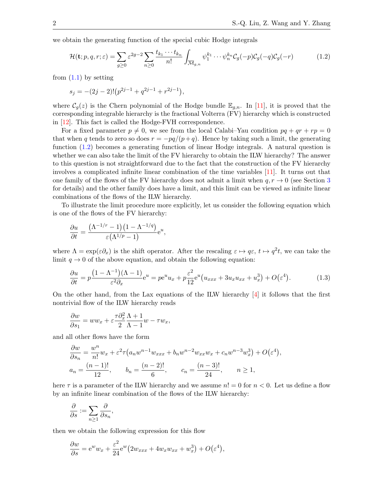<span id="page-1-1"></span>,

we obtain the generating function of the special cubic Hodge integrals

<span id="page-1-0"></span>
$$
\mathcal{H}(\mathbf{t};p,q,r;\varepsilon) = \sum_{g\geq 0} \varepsilon^{2g-2} \sum_{n\geq 0} \frac{t_{k_1} \cdots t_{k_n}}{n!} \int_{\overline{\mathcal{M}}_{g,n}} \psi_1^{k_1} \cdots \psi_n^{k_n} \mathcal{C}_g(-p) \mathcal{C}_g(-q) \mathcal{C}_g(-r) \tag{1.2}
$$

from  $(1.1)$  by setting

$$
s_j = -(2j-2)!(p^{2j-1} + q^{2j-1} + r^{2j-1}),
$$

where  $\mathcal{C}_g(z)$  is the Chern polynomial of the Hodge bundle  $\mathbb{E}_{g,n}$ . In [\[11\]](#page-17-1), it is proved that the corresponding integrable hierarchy is the fractional Volterra (FV) hierarchy which is constructed in [\[12\]](#page-17-2). This fact is called the Hodge-FVH correspondence.

For a fixed parameter  $p \neq 0$ , we see from the local Calabi–Yau condition  $pq + qr + rp = 0$ that when q tends to zero so does  $r = -pq/(p+q)$ . Hence by taking such a limit, the generating function [\(1.2\)](#page-1-0) becomes a generating function of linear Hodge integrals. A natural question is whether we can also take the limit of the FV hierarchy to obtain the ILW hierarchy? The answer to this question is not straightforward due to the fact that the construction of the FV hierarchy involves a complicated infinite linear combination of the time variables [\[11\]](#page-17-1). It turns out that one family of the flows of the FV hierarchy does not admit a limit when  $q, r \to 0$  (see Section [3](#page-10-0)) for details) and the other family does have a limit, and this limit can be viewed as infinite linear combinations of the flows of the ILW hierarchy.

To illustrate the limit procedure more explicitly, let us consider the following equation which is one of the flows of the FV hierarchy:

$$
\frac{\partial u}{\partial t} = \frac{(\Lambda^{-1/r} - 1)(1 - \Lambda^{-1/q})}{\varepsilon(\Lambda^{1/p} - 1)} e^u,
$$

where  $\Lambda = \exp(\varepsilon \partial_x)$  is the shift operator. After the rescaling  $\varepsilon \mapsto q\varepsilon$ ,  $t \mapsto q^2t$ , we can take the limit  $q \to 0$  of the above equation, and obtain the following equation:

$$
\frac{\partial u}{\partial t} = p \frac{\left(1 - \Lambda^{-1}\right)(\Lambda - 1)}{\varepsilon^2 \partial_x} e^u = p e^u u_x + p \frac{\varepsilon^2}{12} e^u \left(u_{xxx} + 3u_x u_{xx} + u_x^3\right) + O(\varepsilon^4). \tag{1.3}
$$

On the other hand, from the Lax equations of the ILW hierarchy  $\left[4\right]$  it follows that the first nontrivial flow of the ILW hierarchy reads

$$
\frac{\partial w}{\partial s_1} = ww_x + \varepsilon \frac{\tau \partial_x^2}{2} \frac{\Lambda + 1}{\Lambda - 1} w - \tau w_x,
$$

and all other flows have the form

$$
\frac{\partial w}{\partial s_n} = \frac{w^n}{n!} w_x + \varepsilon^2 \tau (a_n w^{n-1} w_{xxx} + b_n w^{n-2} w_{xx} w_x + c_n w^{n-3} w_x^3) + O(\varepsilon^4)
$$
  

$$
a_n = \frac{(n-1)!}{12}, \qquad b_n = \frac{(n-2)!}{6}, \qquad c_n = \frac{(n-3)!}{24}, \qquad n \ge 1,
$$

here  $\tau$  is a parameter of the ILW hierarchy and we assume  $n! = 0$  for  $n < 0$ . Let us define a flow by an infinite linear combination of the flows of the ILW hierarchy:

$$
\frac{\partial}{\partial s} := \sum_{n \geq 1} \frac{\partial}{\partial s_n},
$$

then we obtain the following expression for this flow

$$
\frac{\partial w}{\partial s} = e^w w_x + \frac{\varepsilon^2}{24} e^w \left( 2w_{xxx} + 4w_x w_{xx} + w_x^3 \right) + O(\varepsilon^4),
$$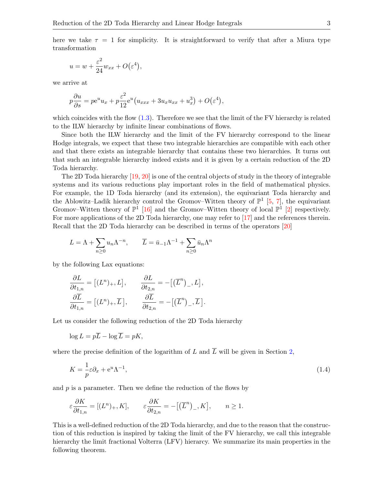here we take  $\tau = 1$  for simplicity. It is straightforward to verify that after a Miura type transformation

$$
u = w + \frac{\varepsilon^2}{24} w_{xx} + O(\varepsilon^4),
$$

we arrive at

$$
p\frac{\partial u}{\partial s} = p e^u u_x + p \frac{\varepsilon^2}{12} e^u (u_{xxx} + 3u_x u_{xx} + u_x^3) + O(\varepsilon^4),
$$

which coincides with the flow  $(1.3)$ . Therefore we see that the limit of the FV hierarchy is related to the ILW hierarchy by infinite linear combinations of flows.

Since both the ILW hierarchy and the limit of the FV hierarchy correspond to the linear Hodge integrals, we expect that these two integrable hierarchies are compatible with each other and that there exists an integrable hierarchy that contains these two hierarchies. It turns out that such an integrable hierarchy indeed exists and it is given by a certain reduction of the 2D Toda hierarchy.

The 2D Toda hierarchy [\[19,](#page-17-3) [20\]](#page-17-4) is one of the central objects of study in the theory of integrable systems and its various reductions play important roles in the field of mathematical physics. For example, the 1D Toda hierarchy (and its extension), the equivariant Toda hierarchy and the Ablowitz–Ladik hierarchy control the Gromov–Witten theory of  $\mathbb{P}^1$  [\[5,](#page-16-3) [7\]](#page-16-4), the equivariant Gromov–Witten theory of  $\mathbb{P}^1$  [\[16\]](#page-17-5) and the Gromov–Witten theory of local  $\mathbb{P}^1$  [\[2\]](#page-16-5) respectively. For more applications of the 2D Toda hierarchy, one may refer to [\[17\]](#page-17-6) and the references therein. Recall that the 2D Toda hierarchy can be described in terms of the operators [\[20\]](#page-17-4)

$$
L = \Lambda + \sum_{n\geq 0} u_n \Lambda^{-n}, \qquad \overline{L} = \overline{u}_{-1} \Lambda^{-1} + \sum_{n\geq 0} \overline{u}_n \Lambda^n
$$

by the following Lax equations:

$$
\frac{\partial L}{\partial t_{1,n}} = [(L^n)_+, L], \qquad \frac{\partial L}{\partial t_{2,n}} = -[(\overline{L}^n)_-, L],
$$

$$
\frac{\partial \overline{L}}{\partial t_{1,n}} = [(L^n)_+, \overline{L}], \qquad \frac{\partial \overline{L}}{\partial t_{2,n}} = -[(\overline{L}^n)_-, \overline{L}].
$$

Let us consider the following reduction of the 2D Toda hierarchy

$$
\log L = p\overline{L} - \log \overline{L} = pK,
$$

where the precise definition of the logarithm of L and  $\overline{L}$  will be given in Section [2,](#page-3-0)

<span id="page-2-0"></span>
$$
K = -\frac{1}{p}\varepsilon \partial_x + e^u \Lambda^{-1},\tag{1.4}
$$

and  $p$  is a parameter. Then we define the reduction of the flows by

$$
\varepsilon \frac{\partial K}{\partial t_{1,n}} = [(L^n)_+, K], \qquad \varepsilon \frac{\partial K}{\partial t_{2,n}} = -[(\overline{L}^n)_-, K], \qquad n \ge 1.
$$

This is a well-defined reduction of the 2D Toda hierarchy, and due to the reason that the construction of this reduction is inspired by taking the limit of the FV hierarchy, we call this integrable hierarchy the limit fractional Volterra (LFV) hierarcy. We summarize its main properties in the following theorem.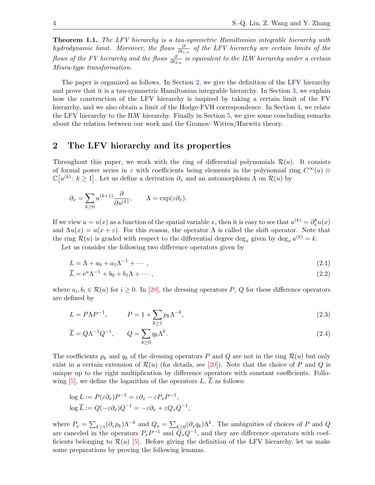**Theorem 1.1.** The LFV hierarchy is a tau-symmetric Hamiltonian integrable hierarchy with hydrodynamic limit. Moreover, the flows  $\frac{\partial}{\partial t_{1,n}}$  of the LFV hierarchy are certain limits of the flows of the FV hierarchy and the flows  $\frac{\partial}{\partial t_{2,n}}$  is equivalent to the ILW hierarchy under a certain Miura-type transformation.

The paper is organized as follows. In Section [2,](#page-3-0) we give the definition of the LFV hierarchy and prove that it is a tau-symmetric Hamiltonian integrable hierarchy. In Section [3,](#page-10-0) we explain how the construction of the LFV hierarchy is inspired by taking a certain limit of the FV hierarchy, and we also obtain a limit of the Hodge-FVH correspondence. In Section [4,](#page-12-0) we relate the LFV hierarchy to the ILW hierarchy. Finally in Section [5,](#page-16-6) we give some concluding remarks about the relation between our work and the Gromov–Witten/Hurwitz theory.

## <span id="page-3-0"></span>2 The LFV hierarchy and its properties

Throughout this paper, we work with the ring of differential polynomials  $\mathcal{R}(u)$ . It consists of formal power series in  $\varepsilon$  with coefficients being elements in the polynomial ring  $C^{\infty}(u)$  $\mathbb{C}[u^{(k)}:k\geq 1]$ . Let us define a derivation  $\partial_x$  and an automorphism  $\Lambda$  on  $\mathcal{R}(u)$  by

$$
\partial_x = \sum_{k \ge 0} u^{(k+1)} \frac{\partial}{\partial u^{(k)}}, \qquad \Lambda = \exp(\varepsilon \partial_x).
$$

If we view  $u = u(x)$  as a function of the spatial variable x, then it is easy to see that  $u^{(k)} = \partial_x^k u(x)$ and  $\Lambda u(x) = u(x + \varepsilon)$ . For this reason, the operator  $\Lambda$  is called the shift operator. Note that the ring  $\mathcal{R}(u)$  is graded with respect to the differential degree  $\deg_x$  given by  $\deg_x u^{(k)} = k$ .

Let us consider the following two difference operators given by

<span id="page-3-2"></span><span id="page-3-1"></span>
$$
L = \Lambda + a_0 + a_1 \Lambda^{-1} + \cdots, \qquad (2.1)
$$

$$
\overline{L} = e^u \Lambda^{-1} + b_0 + b_1 \Lambda + \cdots, \qquad (2.2)
$$

where  $a_i, b_i \in \mathcal{R}(u)$  for  $i \geq 0$ . In [\[20\]](#page-17-4), the dressing operators P, Q for these difference operators are defined by

$$
L = P\Lambda P^{-1}, \qquad P = 1 + \sum_{k \ge 1} p_k \Lambda^{-k}, \qquad (2.3)
$$

<span id="page-3-3"></span>
$$
\overline{L} = Q\Lambda^{-1}Q^{-1}, \qquad Q = \sum_{k \ge 0} q_k \Lambda^k. \tag{2.4}
$$

The coefficients  $p_k$  and  $q_k$  of the dressing operators P and Q are not in the ring  $\mathcal{R}(u)$  but only exist in a certain extension of  $\mathcal{R}(u)$  (for details, see [\[20\]](#page-17-4)). Note that the choice of P and Q is unique up to the right multiplication by difference operators with constant coefficients. Following  $[5]$ , we define the logarithm of the operators  $L, L$  as follows:

$$
\log L := P(\varepsilon \partial_x) P^{-1} = \varepsilon \partial_x - \varepsilon P_x P^{-1},
$$
  

$$
\log \overline{L} := Q(-\varepsilon \partial_x) Q^{-1} = -\varepsilon \partial_x + \varepsilon Q_x Q^{-1},
$$

where  $P_x = \sum_{k\geq 1} (\partial_x p_k) \Lambda^{-k}$  and  $Q_x = \sum_{k\geq 0} (\partial_x q_k) \Lambda^k$ . The ambiguities of choices of P and Q are canceled in the operators  $P_x P^{-1}$  and  $\overline{Q}_x Q^{-1}$ , and they are difference operators with coefficients belonging to  $\mathcal{R}(u)$  [\[5\]](#page-16-3). Before giving the definition of the LFV hierarchy, let us make some preparations by proving the following lemmas.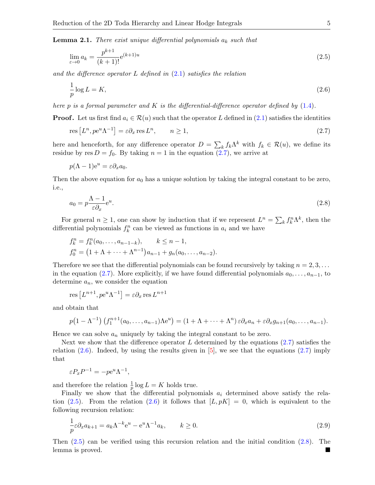<span id="page-4-4"></span>**Lemma 2.1.** There exist unique differential polynomials  $a_k$  such that

<span id="page-4-2"></span>
$$
\lim_{\varepsilon \to 0} a_k = \frac{p^{k+1}}{(k+1)!} e^{(k+1)u} \tag{2.5}
$$

and the difference operator L defined in  $(2.1)$  satisfies the relation

<span id="page-4-1"></span>
$$
\frac{1}{p}\log L = K,\tag{2.6}
$$

here p is a formal parameter and K is the differential-difference operator defined by  $(1.4)$ .

**Proof.** Let us first find  $a_i \in \mathcal{R}(u)$  such that the operator L defined in [\(2.1\)](#page-3-1) satisfies the identities

<span id="page-4-0"></span>
$$
res\left[L^{n}, pe^{u}\Lambda^{-1}\right] = \varepsilon \partial_{x} \operatorname{res} L^{n}, \qquad n \ge 1,
$$
\n
$$
(2.7)
$$

here and henceforth, for any difference operator  $D = \sum_{k} f_k \Lambda^k$  with  $f_k \in \mathcal{R}(u)$ , we define its residue by res  $D = f_0$ . By taking  $n = 1$  in the equation  $(2.7)$ , we arrive at

$$
p(\Lambda - 1)e^u = \varepsilon \partial_x a_0.
$$

<span id="page-4-3"></span>Then the above equation for  $a_0$  has a unique solution by taking the integral constant to be zero, i.e.,

$$
a_0 = p \frac{\Lambda - 1}{\varepsilon \partial x} e^u. \tag{2.8}
$$

For general  $n \geq 1$ , one can show by induction that if we represent  $L^n = \sum_k f_k^n \Lambda^k$ , then the differential polynomials  $f_k^n$  can be viewed as functions in  $a_i$  and we have

$$
f_k^n = f_k^n(a_0, \dots, a_{n-1-k}), \qquad k \leq n-1,
$$
  
\n
$$
f_0^n = (1 + \Lambda + \dots + \Lambda^{n-1})a_{n-1} + g_n(a_0, \dots, a_{n-2}).
$$

Therefore we see that the differential polynomials can be found recursively by taking  $n = 2, 3, \ldots$ in the equation [\(2.7\)](#page-4-0). More explicitly, if we have found differential polynomials  $a_0, \ldots, a_{n-1}$ , to determine  $a_n$ , we consider the equation

res 
$$
[L^{n+1}, p e^u \Lambda^{-1}] = \varepsilon \partial_x \text{ res } L^{n+1}
$$

and obtain that

$$
p(1 - \Lambda^{-1}) (f_1^{n+1}(a_0, \ldots, a_{n-1})\Lambda e^u) = (1 + \Lambda + \cdots + \Lambda^n) \varepsilon \partial_x a_n + \varepsilon \partial_x g_{n+1}(a_0, \ldots, a_{n-1}).
$$

Hence we can solve  $a_n$  uniquely by taking the integral constant to be zero.

Next we show that the difference operator  $L$  determined by the equations [\(2.7\)](#page-4-0) satisfies the relation  $(2.6)$ . Indeed, by using the results given in [\[5\]](#page-16-3), we see that the equations  $(2.7)$  imply that

$$
\varepsilon P_x P^{-1} = -p e^u \Lambda^{-1},
$$

and therefore the relation  $\frac{1}{p} \log L = K$  holds true.

Finally we show that the differential polynomials  $a_i$  determined above satisfy the rela-tion [\(2.5\)](#page-4-2). From the relation [\(2.6\)](#page-4-1) it follows that  $[L, pK] = 0$ , which is equivalent to the following recursion relation:

<span id="page-4-5"></span>
$$
\frac{1}{p}\varepsilon \partial_x a_{k+1} = a_k \Lambda^{-k} e^u - e^u \Lambda^{-1} a_k, \qquad k \ge 0.
$$
\n(2.9)

Then [\(2.5\)](#page-4-2) can be verified using this recursion relation and the initial condition [\(2.8\)](#page-4-3). The lemma is proved.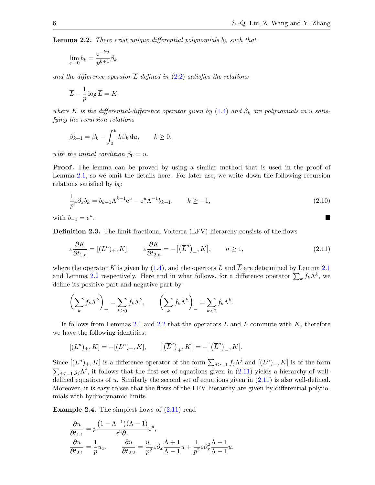<span id="page-5-0"></span>**Lemma 2.2.** There exist unique differential polynomials  $b_k$  such that

$$
\lim_{\varepsilon \to 0} b_k = \frac{\mathrm{e}^{-ku}}{p^{k+1}} \beta_k
$$

and the difference operator  $\overline{L}$  defined in [\(2.2\)](#page-3-2) satisfies the relations

$$
\overline{L} - \frac{1}{p} \log \overline{L} = K,
$$

where K is the differential-difference operator given by  $(1.4)$  and  $\beta_k$  are polynomials in u satisfying the recursion relations

$$
\beta_{k+1} = \beta_k - \int_0^u k \beta_k \, \mathrm{d}u, \qquad k \ge 0,
$$

with the initial condition  $\beta_0 = u$ .

**Proof.** The lemma can be proved by using a similar method that is used in the proof of Lemma [2.1,](#page-4-4) so we omit the details here. For later use, we write down the following recursion relations satisfied by  $b_k$ :

<span id="page-5-2"></span>
$$
\frac{1}{p}\varepsilon \partial_x b_k = b_{k+1} \Lambda^{k+1} e^u - e^u \Lambda^{-1} b_{k+1}, \qquad k \ge -1,
$$
\n(2.10)

with  $b_{-1} = e^u$ . .

Definition 2.3. The limit fractional Volterra (LFV) hierarchy consists of the flows

<span id="page-5-1"></span>
$$
\varepsilon \frac{\partial K}{\partial t_{1,n}} = [(L^n)_+, K], \qquad \varepsilon \frac{\partial K}{\partial t_{2,n}} = -[(\overline{L}^n)_-, K], \qquad n \ge 1,
$$
\n(2.11)

where the operator K is given by [\(1.4\)](#page-2-0), and the opertors L and  $\overline{L}$  are determined by Lemma [2.1](#page-4-4) and Lemma [2.2](#page-5-0) respectively. Here and in what follows, for a difference operator  $\sum_{k} f_{k} \Lambda^{k}$ , we define its positive part and negative part by

$$
\left(\sum_{k} f_{k} \Lambda^{k}\right)_{+} = \sum_{k \geq 0} f_{k} \Lambda^{k}, \qquad \left(\sum_{k} f_{k} \Lambda^{k}\right)_{-} = \sum_{k < 0} f_{k} \Lambda^{k}.
$$

It follows from Lemmas [2.1](#page-4-4) and [2.2](#page-5-0) that the operators L and  $\overline{L}$  commute with K, therefore we have the following identities:

$$
[(L^n)_+, K] = -[(L^n)_-, K], \qquad [(\overline{L}^n)_+, K] = -[(\overline{L}^n)_-, K].
$$

Since  $[(L^n)_+, K]$  is a difference operator of the form  $\sum_{j\geq -1} f_j \Lambda^j$  and  $[(L^n)_-, K]$  is of the form  $\sum_{j\leq -1} g_j \Lambda^j$ , it follows that the first set of equations given in [\(2.11\)](#page-5-1) yields a hierarchy of welldefined equations of u. Similarly the second set of equations given in  $(2.11)$  is also well-defined. Moreover, it is easy to see that the flows of the LFV hierarchy are given by differential polynomials with hydrodynamic limits.

**Example 2.4.** The simplest flows of  $(2.11)$  read

$$
\frac{\partial u}{\partial t_{1,1}} = p \frac{(1 - \Lambda^{-1})(\Lambda - 1)}{\varepsilon^2 \partial_x} e^u,
$$
  

$$
\frac{\partial u}{\partial t_{2,1}} = \frac{1}{p} u_x, \qquad \frac{\partial u}{\partial t_{2,2}} = \frac{u_x}{p^2} \varepsilon \partial_x \frac{\Lambda + 1}{\Lambda - 1} u + \frac{1}{p^2} \varepsilon \partial_x^2 \frac{\Lambda + 1}{\Lambda - 1} u.
$$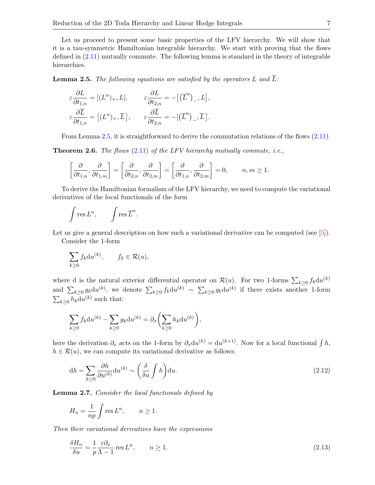Let us proceed to present some basic properties of the LFV hierarchy. We will show that it is a tau-symmetric Hamiltonian integrable hierarchy. We start with proving that the flows defined in [\(2.11\)](#page-5-1) mutually commute. The following lemma is standard in the theory of integrable hierarchies.

<span id="page-6-0"></span>**Lemma 2.5.** The following equations are satisfied by the operators L and  $\overline{L}$ :

$$
\varepsilon \frac{\partial L}{\partial t_{1,n}} = [(L^n)_+, L], \qquad \varepsilon \frac{\partial L}{\partial t_{2,n}} = -[(\overline{L}^n)_-, L],
$$
  

$$
\varepsilon \frac{\partial \overline{L}}{\partial t_{1,n}} = [(L^n)_+, \overline{L}], \qquad \varepsilon \frac{\partial \overline{L}}{\partial t_{2,n}} = -[(\overline{L}^n)_-, \overline{L}].
$$

From Lemma [2.5,](#page-6-0) it is straightforward to derive the commutation relations of the flows  $(2.11)$ .

**Theorem 2.6.** The flows  $(2.11)$  of the LFV hierarchy mutually commute, i.e.,

$$
\left[\frac{\partial}{\partial t_{1,n}}, \frac{\partial}{\partial t_{1,m}}\right] = \left[\frac{\partial}{\partial t_{2,n}}, \frac{\partial}{\partial t_{2,m}}\right] = \left[\frac{\partial}{\partial t_{1,n}}, \frac{\partial}{\partial t_{2,m}}\right] = 0, \quad n, m \ge 1.
$$

To derive the Hamiltonian formalism of the LFV hierarchy, we need to compute the variational derivatives of the local functionals of the form

$$
\int \operatorname{res} L^n, \qquad \int \operatorname{res} \overline{L}^n.
$$

Let us give a general description on how such a variational derivative can be computed (see [\[5\]](#page-16-3)). Consider the 1-form

$$
\sum_{k\geq 0} f_k \mathrm{d}u^{(k)}, \qquad f_k \in \mathcal{R}(u),
$$

where d is the natural exterior differential operator on  $\mathcal{R}(u)$ . For two 1-forms  $\sum_{k\geq 0} f_k \mathrm{d}u^{(k)}$ and  $\sum_{k\geq 0} g_k \mathrm{d}u^{(k)}$ , we denote  $\sum_{k\geq 0} f_k \mathrm{d}u^{(k)} \sim \sum_{k\geq 0} g_k \mathrm{d}u^{(k)}$  if there exists another 1-form  $\sum_{k\geq 0} h_k \mathrm{d}u^{(k)}$  such that:

$$
\sum_{k\geq 0} f_k \mathrm{d}u^{(k)} - \sum_{k\geq 0} g_k \mathrm{d}u^{(k)} = \partial_x \left( \sum_{k\geq 0} h_k \mathrm{d}u^{(k)} \right),
$$

here the derivation  $\partial_x$  acts on the 1-form by  $\partial_x du^{(k)} = du^{(k+1)}$ . Now for a local functional  $\int h$ ,  $h \in \mathcal{R}(u)$ , we can compute its variational derivative as follows:

<span id="page-6-1"></span>
$$
dh = \sum_{k \ge 0} \frac{\partial h}{\partial u^{(k)}} du^{(k)} \sim \left(\frac{\delta}{\delta u} \int h\right) du.
$$
\n(2.12)

<span id="page-6-3"></span>**Lemma 2.7.** Consider the local functionals defined by

$$
H_n = \frac{1}{np} \int \operatorname{res} L^n, \qquad n \ge 1.
$$

Then their variational derivatives have the expressions

<span id="page-6-2"></span>
$$
\frac{\delta H_n}{\delta u} = \frac{1}{p} \frac{\varepsilon \partial_x}{\Lambda - 1} \operatorname{res} L^n, \qquad n \ge 1.
$$
\n(2.13)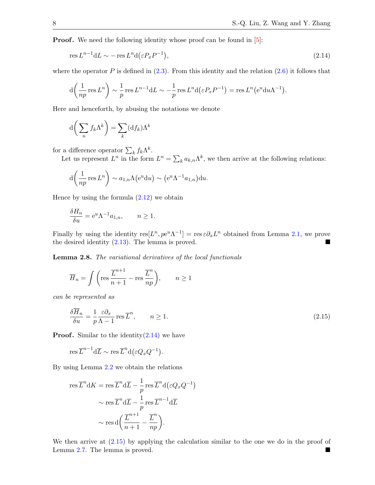**Proof.** We need the following identity whose proof can be found in  $[5]$ :

<span id="page-7-0"></span>
$$
\operatorname{res} L^{n-1} dL \sim -\operatorname{res} L^n d\left(\varepsilon P_x P^{-1}\right),\tag{2.14}
$$

where the operator P is defined in  $(2.3)$ . From this identity and the relation  $(2.6)$  it follows that

$$
d\left(\frac{1}{np}\operatorname{res} L^n\right) \sim \frac{1}{p}\operatorname{res} L^{n-1}dL \sim -\frac{1}{p}\operatorname{res} L^n d\left(\varepsilon P_x P^{-1}\right) = \operatorname{res} L^n \left(e^u du \Lambda^{-1}\right).
$$

Here and henceforth, by abusing the notations we denote

$$
d\bigg(\sum_n f_k \Lambda^k\bigg) = \sum_k (df_k) \Lambda^k
$$

for a difference operator  $\sum_{k} f_k \Lambda^k$ .

Let us represent  $L^n$  in the form  $L^n = \sum_k a_{k,n} \Lambda^k$ , we then arrive at the following relations:

$$
d\left(\frac{1}{np}\operatorname{res} L^n\right) \sim a_{1,n}\Lambda\left(e^u du\right) \sim \left(e^u \Lambda^{-1} a_{1,n}\right) du.
$$

Hence by using the formula  $(2.12)$  we obtain

$$
\frac{\delta H_n}{\delta u} = e^u \Lambda^{-1} a_{1,n}, \qquad n \ge 1.
$$

Finally by using the identity  $res[L^n, pe^u\Lambda^{-1}] = res \varepsilon \partial_x L^n$  obtained from Lemma [2.1,](#page-4-4) we prove the desired identity [\(2.13\)](#page-6-2). The lemma is proved.

<span id="page-7-2"></span>Lemma 2.8. The variational derivatives of the local functionals

$$
\overline{H}_n = \int \left( \text{res } \frac{\overline{L}^{n+1}}{n+1} - \text{res } \frac{\overline{L}^n}{np} \right), \qquad n \ge 1
$$

can be represented as

<span id="page-7-1"></span>
$$
\frac{\delta \overline{H}_n}{\delta u} = \frac{1}{p} \frac{\varepsilon \partial_x}{\Lambda - 1} \operatorname{res} \overline{L}^n, \qquad n \ge 1.
$$
\n(2.15)

**Proof.** Similar to the identity $(2.14)$  we have

$$
\operatorname{res} \overline{L}^{n-1} d\overline{L} \sim \operatorname{res} \overline{L}^n d(\varepsilon Q_x Q^{-1}).
$$

By using Lemma [2.2](#page-5-0) we obtain the relations

$$
\operatorname{res} \overline{L}^n \mathrm{d} K = \operatorname{res} \overline{L}^n \mathrm{d} \overline{L} - \frac{1}{p} \operatorname{res} \overline{L}^n \mathrm{d} (\varepsilon Q_x Q^{-1})
$$

$$
\sim \operatorname{res} \overline{L}^n \mathrm{d} \overline{L} - \frac{1}{p} \operatorname{res} \overline{L}^{n-1} \mathrm{d} \overline{L}
$$

$$
\sim \operatorname{res} \mathrm{d} \left( \frac{\overline{L}^{n+1}}{n+1} - \frac{\overline{L}^n}{np} \right).
$$

We then arrive at  $(2.15)$  by applying the calculation similar to the one we do in the proof of Lemma [2.7.](#page-6-3) The lemma is proved.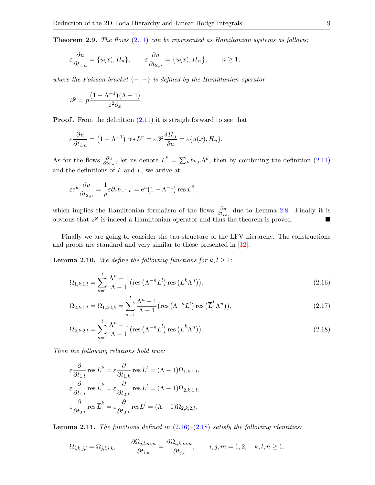**Theorem 2.9.** The flows  $(2.11)$  can be represented as Hamiltonian systems as follows:

$$
\varepsilon \frac{\partial u}{\partial t_{1,n}} = \{u(x), H_n\}, \qquad \varepsilon \frac{\partial u}{\partial t_{2,n}} = \{u(x), \overline{H}_n\}, \qquad n \ge 1,
$$

where the Poisson bracket  $\{-,-\}$  is defined by the Hamiltonian operator

$$
\mathscr{P} = p \frac{(1 - \Lambda^{-1})(\Lambda - 1)}{\varepsilon^2 \partial_x}.
$$

**Proof.** From the definition  $(2.11)$  it is straightforward to see that

$$
\varepsilon \frac{\partial u}{\partial t_{1,n}} = (1 - \Lambda^{-1}) \operatorname{res} L^n = \varepsilon \mathscr{P} \frac{\delta H_n}{\delta u} = \varepsilon \{ u(x), H_n \}.
$$

As for the flows  $\frac{\partial u}{\partial t_{2,n}}$ , let us denote  $\overline{L}^n = \sum_k b_{k,n} \Lambda^k$ , then by combining the definition [\(2.11\)](#page-5-1) and the definitions of L and  $\overline{L}$ , we arrive at

$$
\varepsilon e^u \frac{\partial u}{\partial t_{2,n}} = -\frac{1}{p} \varepsilon \partial_x b_{-1,n} = e^u (1 - \Lambda^{-1}) \operatorname{res} \overline{L}^n,
$$

which implies the Hamiltonian formalism of the flows  $\frac{\partial u}{\partial t_{2,n}}$  due to Lemma [2.8.](#page-7-2) Finally it is obvious that  $\mathscr P$  is indeed a Hamiltonian operator and thus the theorem is proved.

Finally we are going to consider the tau-structure of the LFV hierarchy. The constructions and proofs are standard and very similar to those presented in [\[12\]](#page-17-2).

<span id="page-8-2"></span>**Lemma 2.10.** We define the following functions for  $k, l \geq 1$ :

<span id="page-8-0"></span>
$$
\Omega_{1,k;1,l} = \sum_{n=1}^{l} \frac{\Lambda^n - 1}{\Lambda - 1} \left( \text{res}\left( \Lambda^{-n} L^l \right) \text{res}\left( L^k \Lambda^n \right) \right),\tag{2.16}
$$

$$
\Omega_{2,k;1,l} = \Omega_{1,l;2,k} = \sum_{n=1}^{l} \frac{\Lambda^n - 1}{\Lambda - 1} \left( \text{res} \left( \Lambda^{-n} L^l \right) \text{res} \left( \overline{L}^k \Lambda^n \right) \right),\tag{2.17}
$$

<span id="page-8-1"></span>
$$
\Omega_{2,k;2,l} = \sum_{n=1}^{l} \frac{\Lambda^n - 1}{\Lambda - 1} \left( \text{res} \left( \Lambda^{-n} \overline{L}^l \right) \text{res} \left( \overline{L}^k \Lambda^n \right) \right).
$$
 (2.18)

Then the following relations hold true:

$$
\varepsilon \frac{\partial}{\partial t_{1,l}} \operatorname{res} L^k = \varepsilon \frac{\partial}{\partial t_{1,k}} \operatorname{res} L^l = (\Lambda - 1)\Omega_{1,k;1,l},
$$
  

$$
\varepsilon \frac{\partial}{\partial t_{1,l}} \operatorname{res} \overline{L}^k = \varepsilon \frac{\partial}{\partial t_{2,k}} \operatorname{res} L^l = (\Lambda - 1)\Omega_{2,k;1,l},
$$
  

$$
\varepsilon \frac{\partial}{\partial t_{2,l}} \operatorname{res} \overline{L}^k = \varepsilon \frac{\partial}{\partial t_{2,k}} \overline{\operatorname{res}} L^l = (\Lambda - 1)\Omega_{2,k;2,l}.
$$

<span id="page-8-3"></span>**Lemma 2.11.** The functions defined in  $(2.16)-(2.18)$  $(2.16)-(2.18)$  $(2.16)-(2.18)$  satisfy the following identities:

$$
\Omega_{i,k;j,l} = \Omega_{j,l;i,k}, \qquad \frac{\partial \Omega_{j,l;m,n}}{\partial t_{i,k}} = \frac{\partial \Omega_{i,k;m,n}}{\partial t_{j,l}}, \qquad i,j,m = 1,2, \quad k,l,n \ge 1.
$$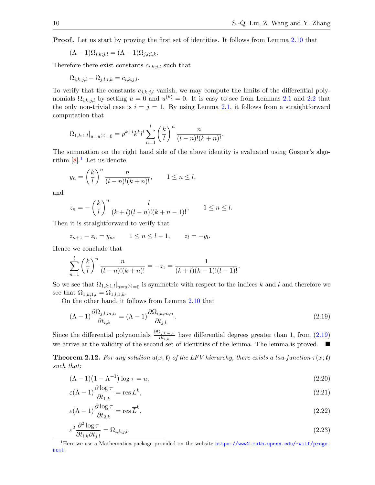**Proof.** Let us start by proving the first set of identities. It follows from Lemma [2.10](#page-8-2) that

$$
(\Lambda - 1)\Omega_{i,k;j,l} = (\Lambda - 1)\Omega_{j,l;i,k}.
$$

Therefore there exist constants  $c_{i,k; j,l}$  such that

$$
\Omega_{i,k;j,l} - \Omega_{j,l;i,k} = c_{i,k;j,l}.
$$

To verify that the constants  $c_{j,k;j,l}$  vanish, we may compute the limits of the differential polynomials  $\Omega_{i,k;j,l}$  by setting  $u=0$  and  $u^{(k)}=0$ . It is easy to see from Lemmas [2.1](#page-4-4) and [2.2](#page-5-0) that the only non-trivial case is  $i = j = 1$ . By using Lemma [2.1,](#page-4-4) it follows from a straightforward computation that

$$
\Omega_{1,k;1,l}|_{u=u^{(i)}=0} = p^{k+l} k^{k} l^{l} \sum_{n=1}^{l} \left(\frac{k}{l}\right)^{n} \frac{n}{(l-n)!(k+n)!}.
$$

The summation on the right hand side of the above identity is evaluated using Gosper's algorithm  $[8]$ <sup>[1](#page-9-0)</sup>. Let us denote

$$
y_n = \left(\frac{k}{l}\right)^n \frac{n}{(l-n)!(k+n)!}, \qquad 1 \le n \le l,
$$

and

$$
z_n = -\left(\frac{k}{l}\right)^n \frac{l}{(k+l)(l-n)!(k+n-1)!}, \qquad 1 \le n \le l.
$$

Then it is straightforward to verify that

$$
z_{n+1} - z_n = y_n
$$
,  $1 \le n \le l-1$ ,  $z_l = -y_l$ .

Hence we conclude that

$$
\sum_{n=1}^{l} \left(\frac{k}{l}\right)^n \frac{n}{(l-n)!(k+n)!} = -z_1 = \frac{1}{(k+l)(k-1)!(l-1)!}.
$$

So we see that  $\Omega_{1,k;1,l}|_{u=u^{(i)}=0}$  is symmetric with respect to the indices k and l and therefore we see that  $\Omega_{1,k;1,l} = \Omega_{1,l;1,k}$ .

On the other hand, it follows from Lemma [2.10](#page-8-2) that

<span id="page-9-1"></span>
$$
(\Lambda - 1) \frac{\partial \Omega_{j,l;m,n}}{\partial t_{i,k}} = (\Lambda - 1) \frac{\partial \Omega_{i,k;m,n}}{\partial t_{j,l}}.
$$
\n(2.19)

Since the differential polynomials  $\frac{\partial \Omega_{j,l;m,n}}{\partial t_{i,k}}$  have differential degrees greater than 1, from [\(2.19\)](#page-9-1) we arrive at the validity of the second set of identities of the lemma. The lemma is proved.  $\blacksquare$ 

**Theorem 2.12.** For any solution  $u(x; t)$  of the LFV hierarchy, there exists a tau-function  $\tau(x; t)$ such that:

<span id="page-9-2"></span>
$$
(\Lambda - 1)(1 - \Lambda^{-1}) \log \tau = u,\tag{2.20}
$$

$$
\varepsilon(\Lambda - 1) \frac{\partial \log \tau}{\partial t_{1,k}} = \text{res } L^k,\tag{2.21}
$$

<span id="page-9-3"></span>
$$
\varepsilon(\Lambda - 1) \frac{\partial \log \tau}{\partial t_{2,k}} = \text{res}\,\overline{L}^k,\tag{2.22}
$$

$$
\varepsilon^2 \frac{\partial^2 \log \tau}{\partial t_{i,k} \partial t_{j,l}} = \Omega_{i,k;j,l}.\tag{2.23}
$$

<span id="page-9-0"></span><sup>1</sup>Here we use a Mathematica package provided on the website [https://www2.math.upenn.edu/~wilf/progs.](https://www2.math.upenn.edu/~wilf/progs.html) [html](https://www2.math.upenn.edu/~wilf/progs.html).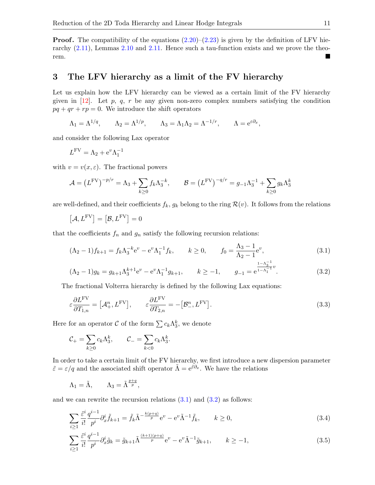**Proof.** The compatibility of the equations  $(2.20)$ – $(2.23)$  is given by the definition of LFV hierarchy [\(2.11\)](#page-5-1), Lemmas [2.10](#page-8-2) and [2.11.](#page-8-3) Hence such a tau-function exists and we prove the theorem.

# <span id="page-10-0"></span>3 The LFV hierarchy as a limit of the FV hierarchy

Let us explain how the LFV hierarchy can be viewed as a certain limit of the FV hierarchy given in  $[12]$ . Let p, q, r be any given non-zero complex numbers satisfying the condition  $pq + qr + rp = 0$ . We introduce the shift operators

$$
\Lambda_1 = \Lambda^{1/q}
$$
,  $\Lambda_2 = \Lambda^{1/p}$ ,  $\Lambda_3 = \Lambda_1 \Lambda_2 = \Lambda^{-1/r}$ ,  $\Lambda = e^{\varepsilon \partial_x}$ ,

and consider the following Lax operator

$$
L^{\text{FV}} = \Lambda_2 + e^v \Lambda_1^{-1}
$$

with  $v = v(x, \varepsilon)$ . The fractional powers

$$
\mathcal{A} = \left(L^{\text{FV}}\right)^{-p/r} = \Lambda_3 + \sum_{k \ge 0} f_k \Lambda_3^{-k}, \qquad \mathcal{B} = \left(L^{\text{FV}}\right)^{-q/r} = g_{-1} \Lambda_3^{-1} + \sum_{k \ge 0} g_k \Lambda_3^k
$$

are well-defined, and their coefficients  $f_k$ ,  $g_k$  belong to the ring  $\mathcal{R}(v)$ . It follows from the relations

$$
[\mathcal{A}, L^{\mathrm{FV}}] = [\mathcal{B}, L^{\mathrm{FV}}] = 0
$$

that the coefficients  $f_n$  and  $g_n$  satisfy the following recursion relations:

<span id="page-10-1"></span>
$$
(\Lambda_2 - 1)f_{k+1} = f_k \Lambda_3^{-k} e^v - e^v \Lambda_1^{-1} f_k, \qquad k \ge 0, \qquad f_0 = \frac{\Lambda_3 - 1}{\Lambda_2 - 1} e^v,
$$
\n(3.1)

<span id="page-10-5"></span><span id="page-10-2"></span>
$$
(\Lambda_2 - 1)g_k = g_{k+1}\Lambda_3^{k+1}e^v - e^v\Lambda_1^{-1}g_{k+1}, \qquad k \ge -1, \qquad g_{-1} = e^{\frac{1-\Lambda_3^{-1}}{1-\Lambda_1^{-1}}}.
$$
 (3.2)

The fractional Volterra hierarchy is defined by the following Lax equations:

$$
\varepsilon \frac{\partial L^{\text{FV}}}{\partial T_{1,n}} = \left[ \mathcal{A}_+^n, L^{\text{FV}} \right], \qquad \varepsilon \frac{\partial L^{\text{FV}}}{\partial T_{2,n}} = -\left[ \mathcal{B}_-^n, L^{\text{FV}} \right]. \tag{3.3}
$$

Here for an operator  $\mathcal C$  of the form  $\sum c_k \Lambda_3^k$ , we denote

$$
\mathcal{C}_{+} = \sum_{k \geq 0} c_k \Lambda_3^k, \qquad \mathcal{C}_{-} = \sum_{k < 0} c_k \Lambda_3^k.
$$

In order to take a certain limit of the FV hierarchy, we first introduce a new dispersion parameter  $\tilde{\varepsilon} = \varepsilon/q$  and the associated shift operator  $\tilde{\Lambda} = e^{\tilde{\varepsilon}\partial_x}$ . We have the relations

$$
\Lambda_1 = \tilde{\Lambda}, \qquad \Lambda_3 = \tilde{\Lambda}^{\frac{p+q}{p}},
$$

and we can rewrite the recursion relations  $(3.1)$  and  $(3.2)$  as follows:

<span id="page-10-3"></span>
$$
\sum_{i\geq 1} \frac{\tilde{\varepsilon}^i}{i!} \frac{q^{i-1}}{p^i} \partial_x^i \tilde{f}_{k+1} = \tilde{f}_k \tilde{\Lambda}^{-\frac{k(p+q)}{p}} e^v - e^v \tilde{\Lambda}^{-1} \tilde{f}_k, \qquad k \geq 0,
$$
\n(3.4)

<span id="page-10-4"></span>
$$
\sum_{i\geq 1} \frac{\tilde{\varepsilon}^i}{i!} \frac{q^{i-1}}{p^i} \partial_x^i \tilde{g}_k = \tilde{g}_{k+1} \tilde{\Lambda}^{\frac{(k+1)(p+q)}{p}} e^v - e^v \tilde{\Lambda}^{-1} \tilde{g}_{k+1}, \qquad k \geq -1,\tag{3.5}
$$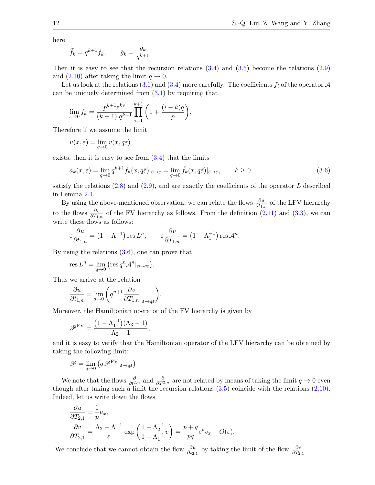here

$$
\tilde{f}_k = q^{k+1} f_k, \qquad \tilde{g}_k = \frac{g_k}{q^{k+1}}.
$$

Then it is easy to see that the recursion relations  $(3.4)$  and  $(3.5)$  become the relations  $(2.9)$ and [\(2.10\)](#page-5-2) after taking the limit  $q \to 0$ .

Let us look at the relations [\(3.1\)](#page-10-1) and [\(3.4\)](#page-10-3) more carefully. The coefficients  $f_i$  of the operator  $\mathcal A$ can be uniquely determined from  $(3.1)$  by requiring that

$$
\lim_{\varepsilon \to 0} f_k = \frac{p^{k+1} e^{kv}}{(k+1)! q^{k+1}} \prod_{i=1}^{k+1} \left( 1 + \frac{(i-k)q}{p} \right).
$$

Therefore if we assume the limit

<span id="page-11-0"></span>
$$
u(x,\tilde{\varepsilon}) = \lim_{q \to 0} v(x,q\tilde{\varepsilon})
$$

exists, then it is easy to see from  $(3.4)$  that the limits

$$
a_k(x,\varepsilon) = \lim_{q \to 0} q^{k+1} f_k(x,q\tilde{\varepsilon}) |_{\tilde{\varepsilon} \to \varepsilon} = \lim_{q \to 0} \tilde{f}_k(x,q\tilde{\varepsilon}) |_{\tilde{\varepsilon} \to \varepsilon}, \qquad k \ge 0
$$
\n(3.6)

satisfy the relations  $(2.8)$  and  $(2.9)$ , and are exactly the coefficients of the operator L described in Lemma [2.1.](#page-4-4)

By using the above-mentioned observation, we can relate the flows  $\frac{\partial u}{\partial t_{1,n}}$  of the LFV hierarchy to the flows  $\frac{\partial v}{\partial T_{1,n}}$  of the FV hierarchy as follows. From the definition [\(2.11\)](#page-5-1) and [\(3.3\)](#page-10-5), we can write these flows as follows:

$$
\varepsilon \frac{\partial u}{\partial t_{1,n}} = \left(1 - \Lambda^{-1}\right) \operatorname{res} L^n, \qquad \varepsilon \frac{\partial v}{\partial T_{1,n}} = \left(1 - \Lambda_1^{-1}\right) \operatorname{res} \mathcal{A}^n.
$$

By using the relations  $(3.6)$ , one can prove that

$$
\operatorname{res} L^n = \lim_{q \to 0} \left( \operatorname{res} q^n A^n \vert_{\varepsilon \mapsto q\varepsilon} \right).
$$

Thus we arrive at the relation

$$
\frac{\partial u}{\partial t_{1,n}} = \lim_{q \to 0} \left( q^{n+1} \frac{\partial v}{\partial T_{1,n}} \bigg|_{\varepsilon \mapsto q\varepsilon} \right).
$$

Moreover, the Hamiltonian operator of the FV hierarchy is given by

$$
\mathscr{P}^{\rm FV}=\frac{\left(1-\Lambda_1^{-1}\right)(\Lambda_3-1)}{\Lambda_2-1},
$$

and it is easy to verify that the Hamiltonian operator of the LFV hierarchy can be obtained by taking the following limit:

$$
\mathscr{P}=\lim_{q\to 0}\left(q\mathscr{P}^{\rm FV}|_{\varepsilon\to q\varepsilon}\right).
$$

We note that the flows  $\frac{\partial}{\partial t^{2,n}}$  and  $\frac{\partial}{\partial T^{2,n}}$  are not related by means of taking the limit  $q \to 0$  even though after taking such a limit the recursion relations [\(3.5\)](#page-10-4) coincide with the relations [\(2.10\)](#page-5-2). Indeed, let us write down the flows

$$
\begin{aligned}\n\frac{\partial u}{\partial T_{2,1}} &= \frac{1}{p} u_x, \\
\frac{\partial v}{\partial T_{2,1}} &= \frac{\Lambda_2 - \Lambda_1^{-1}}{\varepsilon} \exp\left(\frac{1 - \Lambda_2^{-1}}{1 - \Lambda_1^{-1}} v\right) = \frac{p + q}{pq} e^v v_x + O(\varepsilon).\n\end{aligned}
$$

We conclude that we cannot obtain the flow  $\frac{\partial u}{\partial t_{2,1}}$  by taking the limit of the flow  $\frac{\partial v}{\partial T_{2,1}}$ .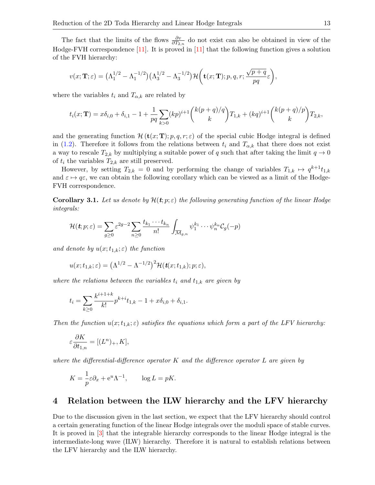The fact that the limits of the flows  $\frac{\partial v}{\partial T_{2,n}}$  do not exist can also be obtained in view of the Hodge-FVH correspondence [\[11\]](#page-17-1). It is proved in [\[11\]](#page-17-1) that the following function gives a solution of the FVH hierarchy:

$$
v(x; \mathbf{T}; \varepsilon) = \left(\Lambda_1^{1/2} - \Lambda_1^{-1/2}\right) \left(\Lambda_3^{1/2} - \Lambda_3^{-1/2}\right) \mathcal{H}\left(\mathbf{t}(x; \mathbf{T}); p, q, r; \frac{\sqrt{p+q}}{pq}\varepsilon\right),\,
$$

where the variables  $t_i$  and  $T_{\alpha,k}$  are related by

$$
t_i(x; \mathbf{T}) = x\delta_{i,0} + \delta_{i,1} - 1 + \frac{1}{pq} \sum_{k>0} (kp)^{i+1} {k(p+q)/q \choose k} T_{1,k} + (kq)^{i+1} {k(p+q)/p \choose k} T_{2,k},
$$

and the generating function  $\mathcal{H}(\mathbf{t}(x; \mathbf{T}); p, q, r; \varepsilon)$  of the special cubic Hodge integral is defined in [\(1.2\)](#page-1-0). Therefore it follows from the relations between  $t_i$  and  $T_{\alpha,k}$  that there does not exist a way to rescale  $T_{2,k}$  by multiplying a suitable power of q such that after taking the limit  $q \to 0$ of  $t_i$  the variables  $T_{2,k}$  are still preserved.

However, by setting  $T_{2,k} = 0$  and by performing the change of variables  $T_{1,k} \mapsto q^{k+1}t_{1,k}$ and  $\varepsilon \mapsto q\varepsilon$ , we can obtain the following corollary which can be viewed as a limit of the Hodge-FVH correspondence.

**Corollary 3.1.** Let us denote by  $\mathcal{H}(\mathbf{t}; p; \varepsilon)$  the following generating function of the linear Hodge integrals:

$$
\mathcal{H}(\boldsymbol{t};p;\varepsilon)=\sum_{g\geq 0}\varepsilon^{2g-2}\sum_{n\geq 0}\frac{t_{k_1}\cdots t_{k_n}}{n!}\int_{\overline{\mathcal{M}}_{g,n}}\psi_1^{k_1}\cdots\psi_n^{k_n}\mathcal{C}_g(-p)
$$

and denote by  $u(x;t_{1,k};\varepsilon)$  the function

$$
u(x;t_{1,k};\varepsilon)=\big(\Lambda^{1/2}-\Lambda^{-1/2}\big)^2\mathcal{H}(\textbf{t}(x;t_{1,k});p;\varepsilon),
$$

where the relations between the variables  $t_i$  and  $t_{1,k}$  are given by

$$
t_i = \sum_{k \ge 0} \frac{k^{i+1+k}}{k!} p^{k+i} t_{1,k} - 1 + x \delta_{i,0} + \delta_{i,1}.
$$

Then the function  $u(x;t_{1,k};\varepsilon)$  satisfies the equations which form a part of the LFV hierarchy:

$$
\varepsilon \frac{\partial K}{\partial t_{1,n}} = [(L^n)_+, K],
$$

where the differential-difference operator  $K$  and the difference operator  $L$  are given by

$$
K = -\frac{1}{p}\varepsilon \partial_x + e^u \Lambda^{-1}, \qquad \log L = pK.
$$

#### <span id="page-12-0"></span>4 Relation between the ILW hierarchy and the LFV hierarchy

Due to the discussion given in the last section, we expect that the LFV hierarchy should control a certain generating function of the linear Hodge integrals over the moduli space of stable curves. It is proved in [\[3\]](#page-16-1) that the integrable hierarchy corresponds to the linear Hodge integral is the intermediate-long wave (ILW) hierarchy. Therefore it is natural to establish relations between the LFV hierarchy and the ILW hierarchy.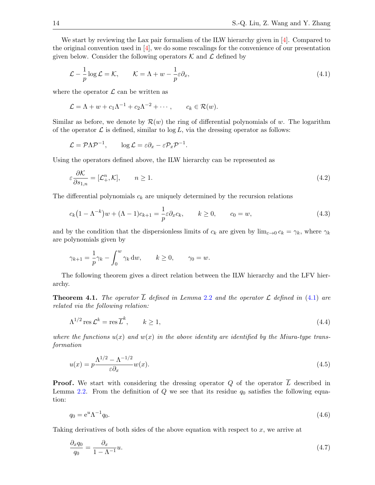We start by reviewing the Lax pair formalism of the ILW hierarchy given in [\[4\]](#page-16-2). Compared to the original convention used in  $[4]$ , we do some rescalings for the convenience of our presentation given below. Consider the following operators  $K$  and  $\mathcal L$  defined by

<span id="page-13-0"></span>
$$
\mathcal{L} - \frac{1}{p} \log \mathcal{L} = \mathcal{K}, \qquad \mathcal{K} = \Lambda + w - \frac{1}{p} \varepsilon \partial_x, \tag{4.1}
$$

where the operator  $\mathcal L$  can be written as

$$
\mathcal{L} = \Lambda + w + c_1 \Lambda^{-1} + c_2 \Lambda^{-2} + \cdots, \qquad c_k \in \mathcal{R}(w).
$$

Similar as before, we denote by  $\mathcal{R}(w)$  the ring of differential polynomials of w. The logarithm of the operator  $\mathcal L$  is defined, similar to  $\log L$ , via the dressing operator as follows:

$$
\mathcal{L} = \mathcal{P}\Lambda \mathcal{P}^{-1}, \qquad \log \mathcal{L} = \varepsilon \partial_x - \varepsilon \mathcal{P}_x \mathcal{P}^{-1}.
$$

Using the operators defined above, the ILW hierarchy can be represented as

<span id="page-13-6"></span><span id="page-13-4"></span>
$$
\varepsilon \frac{\partial \mathcal{K}}{\partial s_{1,n}} = [\mathcal{L}_+^n, \mathcal{K}], \qquad n \ge 1. \tag{4.2}
$$

The differential polynomials  $c_k$  are uniquely determined by the recursion relations

$$
c_k\left(1-\Lambda^{-k}\right)w + (\Lambda - 1)c_{k+1} = \frac{1}{p}\varepsilon \partial_x c_k, \qquad k \ge 0, \qquad c_0 = w,\tag{4.3}
$$

and by the condition that the dispersionless limits of  $c_k$  are given by  $\lim_{\varepsilon \to 0} c_k = \gamma_k$ , where  $\gamma_k$ are polynomials given by

$$
\gamma_{k+1} = \frac{1}{p}\gamma_k - \int_0^w \gamma_k \, \mathrm{d}w, \qquad k \ge 0, \qquad \gamma_0 = w.
$$

The following theorem gives a direct relation between the ILW hierarchy and the LFV hierarchy.

<span id="page-13-7"></span>**Theorem 4.1.** The operator  $\overline{L}$  defined in Lemma [2](#page-5-0).2 and the operator  $\mathcal{L}$  defined in [\(4.1\)](#page-13-0) are related via the following relation:

<span id="page-13-5"></span>
$$
\Lambda^{1/2} \operatorname{res} \mathcal{L}^k = \operatorname{res} \overline{L}^k, \qquad k \ge 1,\tag{4.4}
$$

where the functions  $u(x)$  and  $w(x)$  in the above identity are identified by the Miura-type transformation

<span id="page-13-3"></span>
$$
u(x) = p \frac{\Lambda^{1/2} - \Lambda^{-1/2}}{\varepsilon \partial_x} w(x). \tag{4.5}
$$

**Proof.** We start with considering the dressing operator  $Q$  of the operator  $\overline{L}$  described in Lemma [2.2.](#page-5-0) From the definition of  $Q$  we see that its residue  $q_0$  satisfies the following equation:

<span id="page-13-2"></span><span id="page-13-1"></span>
$$
q_0 = e^u \Lambda^{-1} q_0. \tag{4.6}
$$

Taking derivatives of both sides of the above equation with respect to  $x$ , we arrive at

$$
\frac{\partial_x q_0}{q_0} = \frac{\partial_x}{1 - \Lambda^{-1}} u. \tag{4.7}
$$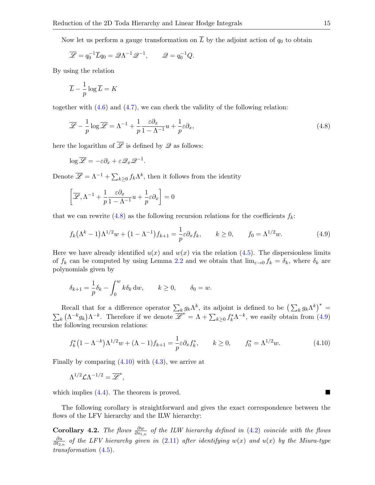Now let us perform a gauge transformation on  $\overline{L}$  by the adjoint action of  $q_0$  to obtain

$$
\overline{\mathscr{L}} = q_0^{-1} \overline{L} q_0 = \mathscr{Q} \Lambda^{-1} \mathscr{Q}^{-1}, \qquad \mathscr{Q} = q_0^{-1} Q.
$$

By using the relation

<span id="page-14-0"></span>
$$
\overline{L} - \frac{1}{p} \log \overline{L} = K
$$

together with  $(4.6)$  and  $(4.7)$ , we can check the validity of the following relation:

$$
\overline{\mathscr{L}} - \frac{1}{p} \log \overline{\mathscr{L}} = \Lambda^{-1} + \frac{1}{p} \frac{\varepsilon \partial_x}{1 - \Lambda^{-1}} u + \frac{1}{p} \varepsilon \partial_x,\tag{4.8}
$$

here the logarithm of  $\overline{\mathscr{L}}$  is defined by  $\mathscr{L}$  as follows:

$$
\log \overline{\mathscr{L}} = -\varepsilon \partial_x + \varepsilon \mathscr{Q}_x \mathscr{Q}^{-1}.
$$

Denote  $\overline{\mathscr{L}} = \Lambda^{-1} + \sum_{k \geq 0} f_k \Lambda^k$ , then it follows from the identity

<span id="page-14-1"></span>
$$
\left[\overline{\mathscr{L}}, \Lambda^{-1} + \frac{1}{p} \frac{\varepsilon \partial_x}{1 - \Lambda^{-1}} u + \frac{1}{p} \varepsilon \partial_x\right] = 0
$$

that we can rewrite  $(4.8)$  as the following recursion relations for the coefficients  $f_k$ :

$$
f_k(\Lambda^k - 1)\Lambda^{1/2}w + (1 - \Lambda^{-1})f_{k+1} = \frac{1}{p}\varepsilon \partial_x f_k, \qquad k \ge 0, \qquad f_0 = \Lambda^{1/2}w. \tag{4.9}
$$

Here we have already identified  $u(x)$  and  $w(x)$  via the relation [\(4.5\)](#page-13-3). The dispersionless limits of  $f_k$  can be computed by using Lemma [2.2](#page-5-0) and we obtain that  $\lim_{\varepsilon\to 0} f_k = \delta_k$ , where  $\delta_k$  are polynomials given by

$$
\delta_{k+1} = \frac{1}{p} \delta_k - \int_0^w k \delta_k \, \mathrm{d}w, \qquad k \ge 0, \qquad \delta_0 = w.
$$

Recall that for a difference operator  $\sum_k g_k \Lambda^k$ , its adjoint is defined to be  $(\sum_k g_k \Lambda^k)^*$  =  $\sum_{k} (\Lambda^{-k} g_k) \Lambda^{-k}$ . Therefore if we denote  $\overline{\mathscr{L}}^* = \Lambda + \sum_{k \geq 0} f_k^* \Lambda^{-k}$ , we easily obtain from [\(4.9\)](#page-14-1) the following recursion relations:

$$
f_k^*(1 - \Lambda^{-k})\Lambda^{1/2}w + (\Lambda - 1)f_{k+1} = \frac{1}{p}\varepsilon \partial_x f_k^*, \qquad k \ge 0, \qquad f_0^* = \Lambda^{1/2}w. \tag{4.10}
$$

Finally by comparing  $(4.10)$  with  $(4.3)$ , we arrive at

<span id="page-14-2"></span>,

$$
\Lambda^{1/2} \mathcal{L} \Lambda^{-1/2} = \overline{\mathscr{L}}^*
$$

which implies  $(4.4)$ . The theorem is proved.

The following corollary is straightforward and gives the exact correspondence between the flows of the LFV hierarchy and the ILW hierarchy:

<span id="page-14-3"></span>**Corollary 4.2.** The flows  $\frac{\partial w}{\partial s_{1,n}}$  of the ILW hierarchy defined in [\(4.2\)](#page-13-6) coincide with the flows ∂u  $\frac{\partial u}{\partial t_{2,n}}$  of the LFV hierarchy given in [\(2.11\)](#page-5-1) after identifying  $w(x)$  and  $u(x)$  by the Miura-type transformation [\(4.5\)](#page-13-3).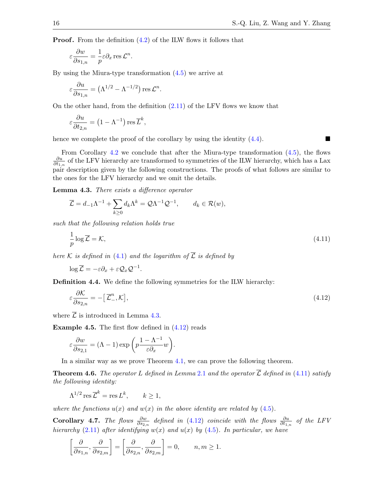**Proof.** From the definition  $(4.2)$  of the ILW flows it follows that

$$
\varepsilon \frac{\partial w}{\partial s_{1,n}} = \frac{1}{p} \varepsilon \partial_x \operatorname{res} \mathcal{L}^n.
$$

By using the Miura-type transformation [\(4.5\)](#page-13-3) we arrive at

$$
\varepsilon \frac{\partial u}{\partial s_{1,n}} = (\Lambda^{1/2} - \Lambda^{-1/2}) \operatorname{res} \mathcal{L}^n.
$$

On the other hand, from the definition  $(2.11)$  of the LFV flows we know that

$$
\varepsilon \frac{\partial u}{\partial t_{2,n}} = \left(1 - \Lambda^{-1}\right) \operatorname{res} \overline{L}^k,
$$

hence we complete the proof of the corollary by using the identity  $(4.4)$ .

From Corollary [4.2](#page-14-3) we conclude that after the Miura-type transformation [\(4.5\)](#page-13-3), the flows ∂u  $\frac{\partial u}{\partial t_{1,n}}$  of the LFV hierarchy are transformed to symmetries of the ILW hierarchy, which has a Lax pair description given by the following constructions. The proofs of what follows are similar to the ones for the LFV hierarchy and we omit the details.

<span id="page-15-0"></span>Lemma 4.3. There exists a difference operator

$$
\overline{\mathcal{L}} = d_{-1}\Lambda^{-1} + \sum_{k \ge 0} d_k \Lambda^k = \mathcal{Q}\Lambda^{-1} \mathcal{Q}^{-1}, \qquad d_k \in \mathcal{R}(w),
$$

such that the following relation holds true

<span id="page-15-2"></span>
$$
\frac{1}{p}\log\overline{\mathcal{L}} = \mathcal{K},\tag{4.11}
$$

here K is defined in [\(4.1\)](#page-13-0) and the logarithm of  $\overline{\mathcal{L}}$  is defined by

<span id="page-15-1"></span>
$$
\log \overline{\mathcal{L}} = -\varepsilon \partial_x + \varepsilon \mathcal{Q}_x \mathcal{Q}^{-1}.
$$

Definition 4.4. We define the following symmetries for the ILW hierarchy:

$$
\varepsilon \frac{\partial \mathcal{K}}{\partial s_{2,n}} = -\left[\overline{\mathcal{L}}^n_-, \mathcal{K}\right],\tag{4.12}
$$

where  $\overline{\mathcal{L}}$  is introduced in Lemma [4.3.](#page-15-0)

**Example 4.5.** The first flow defined in  $(4.12)$  reads

$$
\varepsilon \frac{\partial w}{\partial s_{2,1}} = (\Lambda - 1) \exp \left( p \frac{1 - \Lambda^{-1}}{\varepsilon \partial_x} w \right).
$$

In a similar way as we prove Theorem [4.1,](#page-13-7) we can prove the following theorem.

**Theorem 4.6.** The operator L defined in Lemma [2](#page-4-4).1 and the operator  $\overline{\mathcal{L}}$  defined in [\(4.11\)](#page-15-2) satisfy the following identity:

$$
\Lambda^{1/2}\operatorname{res}\overline{\mathcal{L}}^k = \operatorname{res} L^k, \qquad k \ge 1,
$$

where the functions  $u(x)$  and  $w(x)$  in the above identity are related by [\(4.5\)](#page-13-3).

**Corollary 4.7.** The flows  $\frac{\partial w}{\partial s_{2,n}}$  defined in [\(4.12\)](#page-15-1) coincide with the flows  $\frac{\partial u}{\partial t_{1,n}}$  of the LFV hierarchy [\(2.11\)](#page-5-1) after identifying  $w(x)$  and  $u(x)$  by [\(4.5\)](#page-13-3). In particular, we have

$$
\left[\frac{\partial}{\partial s_{1,n}}, \frac{\partial}{\partial s_{2,m}}\right] = \left[\frac{\partial}{\partial s_{2,n}}, \frac{\partial}{\partial s_{2,m}}\right] = 0, \qquad n, m \ge 1.
$$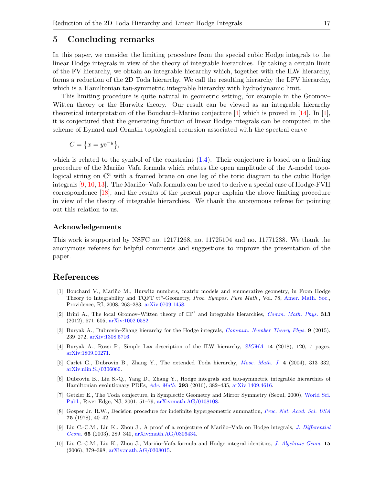#### <span id="page-16-6"></span>5 Concluding remarks

In this paper, we consider the limiting procedure from the special cubic Hodge integrals to the linear Hodge integrals in view of the theory of integrable hierarchies. By taking a certain limit of the FV hierarchy, we obtain an integrable hierarchy which, together with the ILW hierarchy, forms a reduction of the 2D Toda hierarchy. We call the resulting hierarchy the LFV hierarchy, which is a Hamiltonian tau-symmetric integrable hierarchy with hydrodynamic limit.

This limiting procedure is quite natural in geometric setting, for example in the Gromov– Witten theory or the Hurwitz theory. Our result can be viewed as an integrable hierarchy theoretical interpretation of the Bouchard–Mariño conjecture  $[1]$  which is proved in  $[14]$ . In  $[1]$ , it is conjectured that the generating function of linear Hodge integrals can be computed in the scheme of Eynard and Orantin topological recursion associated with the spectral curve

$$
C = \{x = ye^{-y}\},\
$$

which is related to the symbol of the constraint  $(1.4)$ . Their conjecture is based on a limiting procedure of the Mariño–Vafa formula which relates the open amplitude of the A-model topological string on  $\mathbb{C}^3$  with a framed brane on one leg of the toric diagram to the cubic Hodge integrals  $[9, 10, 13]$  $[9, 10, 13]$  $[9, 10, 13]$  $[9, 10, 13]$  $[9, 10, 13]$ . The Mariño–Vafa formula can be used to derive a special case of Hodge-FVH correspondence [\[18\]](#page-17-9), and the results of the present paper explain the above limiting procedure in view of the theory of integrable hierarchies. We thank the anonymous referee for pointing out this relation to us.

#### Acknowledgements

This work is supported by NSFC no. 12171268, no. 11725104 and no. 11771238. We thank the anonymous referees for helpful comments and suggestions to improve the presentation of the paper.

### References

- <span id="page-16-8"></span>[1] Bouchard V., Mariño M., Hurwitz numbers, matrix models and enumerative geometry, in From Hodge Theory to Integrability and TQFT tt\*-Geometry, Proc. Sympos. Pure Math., Vol. 78, [Amer. Math. Soc.,](https://doi.org/10.1090/pspum/078/2483754) Providence, RI, 2008, 263–283, [arXiv:0709.1458.](https://arxiv.org/abs/0709.1458)
- <span id="page-16-5"></span>[2] Brini A., The local Gromov–Witten theory of  $\mathbb{CP}^1$  and integrable hierarchies, *[Comm. Math. Phys.](https://doi.org/10.1007/s00220-012-1517-9)* 313 (2012), 571–605, [arXiv:1002.0582.](https://arxiv.org/abs/1002.0582)
- <span id="page-16-1"></span>[3] Buryak A., Dubrovin–Zhang hierarchy for the Hodge integrals, [Commun. Number Theory Phys.](https://doi.org/10.4310/CNTP.2015.v9.n2.a1) 9 (2015), 239–272, [arXiv:1308.5716.](https://arxiv.org/abs/1308.5716)
- <span id="page-16-2"></span>[4] Buryak A., Rossi P., Simple Lax description of the ILW hierarchy, [SIGMA](https://doi.org/10.3842/SIGMA.2018.120) 14 (2018), 120, 7 pages, [arXiv:1809.00271.](https://arxiv.org/abs/1809.00271)
- <span id="page-16-3"></span>[5] Carlet G., Dubrovin B., Zhang Y., The extended Toda hierarchy, [Mosc. Math. J.](https://doi.org/10.17323/1609-4514-2004-4-2-313-332) 4 (2004), 313–332, [arXiv:nlin.SI/0306060.](https://arxiv.org/abs/nlin.SI/0306060)
- <span id="page-16-0"></span>[6] Dubrovin B., Liu S.-Q., Yang D., Zhang Y., Hodge integrals and tau-symmetric integrable hierarchies of Hamiltonian evolutionary PDEs, [Adv. Math.](https://doi.org/10.1016/j.aim.2016.01.018) 293 (2016), 382–435, [arXiv:1409.4616.](https://arxiv.org/abs/1409.4616)
- <span id="page-16-4"></span>[7] Getzler E., The Toda conjecture, in Symplectic Geometry and Mirror Symmetry (Seoul, 2000), [World Sci.](https://doi.org/10.1142/9789812799821_0003) [Publ.,](https://doi.org/10.1142/9789812799821_0003) River Edge, NJ, 2001, 51–79, [arXiv:math.AG/0108108.](https://arxiv.org/abs/math.AG/0108108)
- <span id="page-16-7"></span>[8] Gosper Jr. R.W., Decision procedure for indefinite hypergeometric summation, [Proc. Nat. Acad. Sci. USA](https://doi.org/10.1073/pnas.75.1.40) 75 (1978), 40–42.
- <span id="page-16-9"></span>[9] Liu C.-C.M., Liu K., Zhou J., A proof of a conjecture of Mariño–Vafa on Hodge integrals, *[J. Differential](https://doi.org/10.4310/jdg/1090511689)* [Geom.](https://doi.org/10.4310/jdg/1090511689) 65 (2003), 289–340, [arXiv:math.AG/0306434.](https://arxiv.org/abs/math.AG/0306434)
- <span id="page-16-10"></span>[10] Liu C.-C.M., Liu K., Zhou J., Mariño–Vafa formula and Hodge integral identities, [J. Algebraic Geom.](https://doi.org/10.1090/S1056-3911-05-00419-4) 15 (2006), 379–398, [arXiv:math.AG/0308015.](https://arxiv.org/abs/math.AG/0308015)